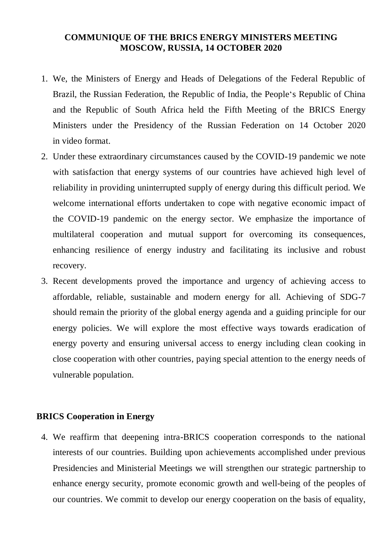## **COMMUNIQUE OF THE BRICS ENERGY MINISTERS MEETING MOSCOW, RUSSIA, 14 OCTOBER 2020**

- 1. We, the Ministers of Energy and Heads of Delegations of the Federal Republic of Brazil, the Russian Federation, the Republic of India, the People's Republic of China and the Republic of South Africa held the Fifth Meeting of the BRICS Energy Ministers under the Presidency of the Russian Federation on 14 October 2020 in video format.
- 2. Under these extraordinary circumstances caused by the COVID-19 pandemic we note with satisfaction that energy systems of our countries have achieved high level of reliability in providing uninterrupted supply of energy during this difficult period. We welcome international efforts undertaken to cope with negative economic impact of the COVID-19 pandemic on the energy sector. We emphasize the importance of multilateral cooperation and mutual support for overcoming its consequences, enhancing resilience of energy industry and facilitating its inclusive and robust recovery.
- 3. Recent developments proved the importance and urgency of achieving access to affordable, reliable, sustainable and modern energy for all. Achieving of SDG-7 should remain the priority of the global energy agenda and a guiding principle for our energy policies. We will explore the most effective ways towards eradication of energy poverty and ensuring universal access to energy including clean cooking in close cooperation with other countries, paying special attention to the energy needs of vulnerable population.

# **BRICS Cooperation in Energy**

4. We reaffirm that deepening intra-BRICS cooperation corresponds to the national interests of our countries. Building upon achievements accomplished under previous Presidencies and Ministerial Meetings we will strengthen our strategic partnership to enhance energy security, promote economic growth and well-being of the peoples of our countries. We commit to develop our energy cooperation on the basis of equality,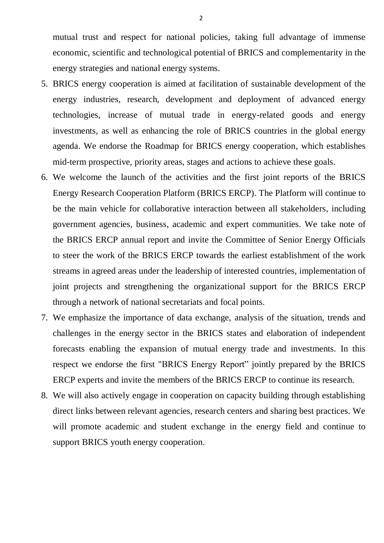mutual trust and respect for national policies, taking full advantage of immense economic, scientific and technological potential of BRICS and complementarity in the energy strategies and national energy systems.

- 5. BRICS energy cooperation is aimed at facilitation of sustainable development of the energy industries, research, development and deployment of advanced energy technologies, increase of mutual trade in energy-related goods and energy investments, as well as enhancing the role of BRICS countries in the global energy agenda. We endorse the Roadmap for BRICS energy cooperation, which establishes mid-term prospective, priority areas, stages and actions to achieve these goals.
- 6. We welcome the launch of the activities and the first joint reports of the BRICS Energy Research Cooperation Platform (BRICS ERCP). The Platform will continue to be the main vehicle for collaborative interaction between all stakeholders, including government agencies, business, academic and expert communities. We take note of the BRICS ERCP annual report and invite the Committee of Senior Energy Officials to steer the work of the BRICS ERCP towards the earliest establishment of the work streams in agreed areas under the leadership of interested countries, implementation of joint projects and strengthening the organizational support for the BRICS ERCP through a network of national secretariats and focal points.
- 7. We emphasize the importance of data exchange, analysis of the situation, trends and challenges in the energy sector in the BRICS states and elaboration of independent forecasts enabling the expansion of mutual energy trade and investments. In this respect we endorse the first "BRICS Energy Report" jointly prepared by the BRICS ERCP experts and invite the members of the BRICS ERCP to continue its research.
- 8. We will also actively engage in cooperation on capacity building through establishing direct links between relevant agencies, research centers and sharing best practices. We will promote academic and student exchange in the energy field and continue to support BRICS youth energy cooperation.

2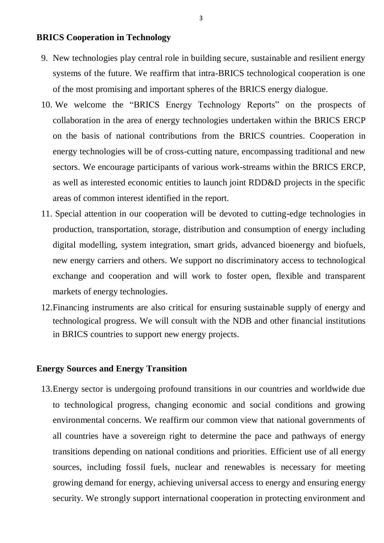## **BRICS Cooperation in Technology**

- 9. New technologies play central role in building secure, sustainable and resilient energy systems of the future. We reaffirm that intra-BRICS technological cooperation is one of the most promising and important spheres of the BRICS energy dialogue.
- 10. We welcome the "BRICS Energy Technology Reports" on the prospects of collaboration in the area of energy technologies undertaken within the BRICS ERCP on the basis of national contributions from the BRICS countries. Cooperation in energy technologies will be of cross-cutting nature, encompassing traditional and new sectors. We encourage participants of various work-streams within the BRICS ERCP, as well as interested economic entities to launch joint RDD&D projects in the specific areas of common interest identified in the report.
- 11. Special attention in our cooperation will be devoted to cutting-edge technologies in production, transportation, storage, distribution and consumption of energy including digital modelling, system integration, smart grids, advanced bioenergy and biofuels, new energy carriers and others. We support no discriminatory access to technological exchange and cooperation and will work to foster open, flexible and transparent markets of energy technologies.
- 12.Financing instruments are also critical for ensuring sustainable supply of energy and technological progress. We will consult with the NDB and other financial institutions in BRICS countries to support new energy projects.

### **Energy Sources and Energy Transition**

13.Energy sector is undergoing profound transitions in our countries and worldwide due to technological progress, changing economic and social conditions and growing environmental concerns. We reaffirm our common view that national governments of all countries have a sovereign right to determine the pace and pathways of energy transitions depending on national conditions and priorities. Efficient use of all energy sources, including fossil fuels, nuclear and renewables is necessary for meeting growing demand for energy, achieving universal access to energy and ensuring energy security. We strongly support international cooperation in protecting environment and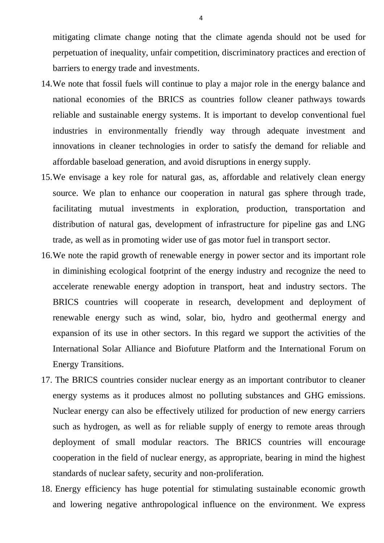mitigating climate change noting that the climate agenda should not be used for perpetuation of inequality, unfair competition, discriminatory practices and erection of barriers to energy trade and investments.

- 14.We note that fossil fuels will continue to play a major role in the energy balance and national economies of the BRICS as countries follow cleaner pathways towards reliable and sustainable energy systems. It is important to develop conventional fuel industries in environmentally friendly way through adequate investment and innovations in cleaner technologies in order to satisfy the demand for reliable and affordable baseload generation, and avoid disruptions in energy supply.
- 15.We envisage a key role for natural gas, as, affordable and relatively clean energy source. We plan to enhance our cooperation in natural gas sphere through trade, facilitating mutual investments in exploration, production, transportation and distribution of natural gas, development of infrastructure for pipeline gas and LNG trade, as well as in promoting wider use of gas motor fuel in transport sector.
- 16.We note the rapid growth of renewable energy in power sector and its important role in diminishing ecological footprint of the energy industry and recognize the need to accelerate renewable energy adoption in transport, heat and industry sectors. The BRICS countries will cooperate in research, development and deployment of renewable energy such as wind, solar, bio, hydro and geothermal energy and expansion of its use in other sectors. In this regard we support the activities of the International Solar Alliance and Biofuture Platform and the International Forum on Energy Transitions.
- 17. The BRICS countries consider nuclear energy as an important contributor to cleaner energy systems as it produces almost no polluting substances and GHG emissions. Nuclear energy can also be effectively utilized for production of new energy carriers such as hydrogen, as well as for reliable supply of energy to remote areas through deployment of small modular reactors. The BRICS countries will encourage cooperation in the field of nuclear energy, as appropriate, bearing in mind the highest standards of nuclear safety, security and non-proliferation.
- 18. Energy efficiency has huge potential for stimulating sustainable economic growth and lowering negative anthropological influence on the environment. We express

4